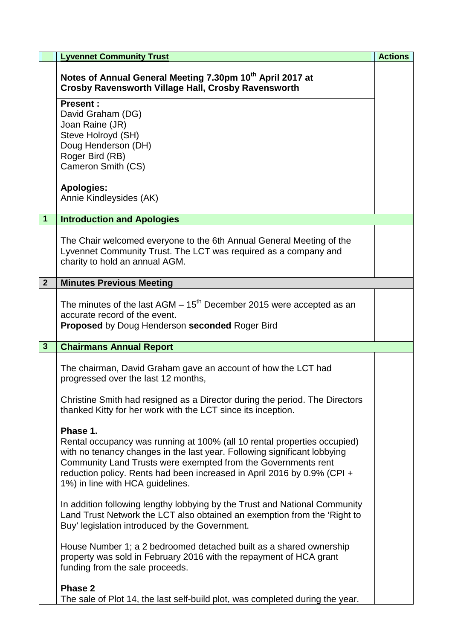|                | <b>Lyvennet Community Trust</b>                                                                                                                                                                                                                                                                                                                  | <b>Actions</b> |
|----------------|--------------------------------------------------------------------------------------------------------------------------------------------------------------------------------------------------------------------------------------------------------------------------------------------------------------------------------------------------|----------------|
|                | Notes of Annual General Meeting 7.30pm 10th April 2017 at<br>Crosby Ravensworth Village Hall, Crosby Ravensworth                                                                                                                                                                                                                                 |                |
|                | <b>Present:</b><br>David Graham (DG)<br>Joan Raine (JR)<br>Steve Holroyd (SH)<br>Doug Henderson (DH)<br>Roger Bird (RB)<br>Cameron Smith (CS)                                                                                                                                                                                                    |                |
|                | <b>Apologies:</b><br>Annie Kindleysides (AK)                                                                                                                                                                                                                                                                                                     |                |
| 1              | <b>Introduction and Apologies</b>                                                                                                                                                                                                                                                                                                                |                |
|                | The Chair welcomed everyone to the 6th Annual General Meeting of the<br>Lyvennet Community Trust. The LCT was required as a company and<br>charity to hold an annual AGM.                                                                                                                                                                        |                |
| $\overline{2}$ | <b>Minutes Previous Meeting</b>                                                                                                                                                                                                                                                                                                                  |                |
|                | The minutes of the last $AGM - 15th$ December 2015 were accepted as an<br>accurate record of the event.<br><b>Proposed</b> by Doug Henderson seconded Roger Bird                                                                                                                                                                                 |                |
| $\mathbf{3}$   | <b>Chairmans Annual Report</b>                                                                                                                                                                                                                                                                                                                   |                |
|                | The chairman, David Graham gave an account of how the LCT had<br>progressed over the last 12 months,<br>Christine Smith had resigned as a Director during the period. The Directors<br>thanked Kitty for her work with the LCT since its inception.                                                                                              |                |
|                | Phase 1.<br>Rental occupancy was running at 100% (all 10 rental properties occupied)<br>with no tenancy changes in the last year. Following significant lobbying<br>Community Land Trusts were exempted from the Governments rent<br>reduction policy. Rents had been increased in April 2016 by 0.9% (CPI +<br>1%) in line with HCA guidelines. |                |
|                | In addition following lengthy lobbying by the Trust and National Community<br>Land Trust Network the LCT also obtained an exemption from the 'Right to<br>Buy' legislation introduced by the Government.                                                                                                                                         |                |
|                | House Number 1; a 2 bedroomed detached built as a shared ownership<br>property was sold in February 2016 with the repayment of HCA grant<br>funding from the sale proceeds.                                                                                                                                                                      |                |
|                | Phase 2<br>The sale of Plot 14, the last self-build plot, was completed during the year.                                                                                                                                                                                                                                                         |                |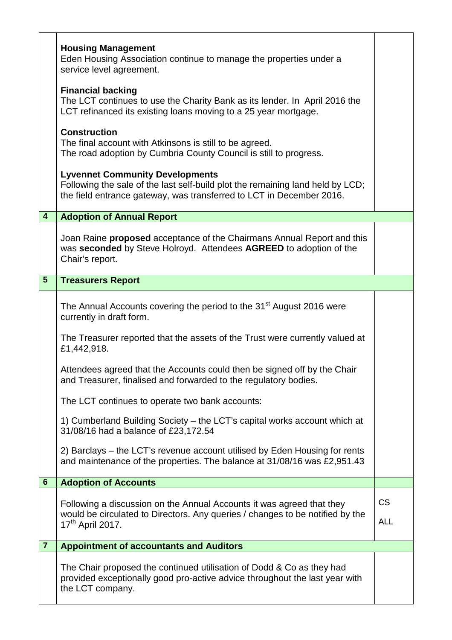|                         | <b>Housing Management</b><br>Eden Housing Association continue to manage the properties under a<br>service level agreement.                                                                      |            |
|-------------------------|--------------------------------------------------------------------------------------------------------------------------------------------------------------------------------------------------|------------|
|                         | <b>Financial backing</b><br>The LCT continues to use the Charity Bank as its lender. In April 2016 the<br>LCT refinanced its existing loans moving to a 25 year mortgage.                        |            |
|                         | <b>Construction</b><br>The final account with Atkinsons is still to be agreed.<br>The road adoption by Cumbria County Council is still to progress.                                              |            |
|                         | <b>Lyvennet Community Developments</b><br>Following the sale of the last self-build plot the remaining land held by LCD;<br>the field entrance gateway, was transferred to LCT in December 2016. |            |
| $\overline{\mathbf{4}}$ | <b>Adoption of Annual Report</b>                                                                                                                                                                 |            |
|                         | Joan Raine <b>proposed</b> acceptance of the Chairmans Annual Report and this<br>was seconded by Steve Holroyd. Attendees AGREED to adoption of the<br>Chair's report.                           |            |
| $5\phantom{.}$          | <b>Treasurers Report</b>                                                                                                                                                                         |            |
|                         | The Annual Accounts covering the period to the 31 <sup>st</sup> August 2016 were<br>currently in draft form.                                                                                     |            |
|                         | The Treasurer reported that the assets of the Trust were currently valued at<br>£1,442,918.                                                                                                      |            |
|                         | Attendees agreed that the Accounts could then be signed off by the Chair<br>and Treasurer, finalised and forwarded to the regulatory bodies.                                                     |            |
|                         | The LCT continues to operate two bank accounts:                                                                                                                                                  |            |
|                         | 1) Cumberland Building Society – the LCT's capital works account which at<br>31/08/16 had a balance of £23,172.54                                                                                |            |
|                         | 2) Barclays – the LCT's revenue account utilised by Eden Housing for rents<br>and maintenance of the properties. The balance at 31/08/16 was £2,951.43                                           |            |
| $6\phantom{1}$          | <b>Adoption of Accounts</b>                                                                                                                                                                      |            |
|                         | Following a discussion on the Annual Accounts it was agreed that they                                                                                                                            | <b>CS</b>  |
|                         | would be circulated to Directors. Any queries / changes to be notified by the<br>17 <sup>th</sup> April 2017.                                                                                    | <b>ALL</b> |
| $\overline{7}$          | <b>Appointment of accountants and Auditors</b>                                                                                                                                                   |            |
|                         | The Chair proposed the continued utilisation of Dodd & Co as they had<br>provided exceptionally good pro-active advice throughout the last year with<br>the LCT company.                         |            |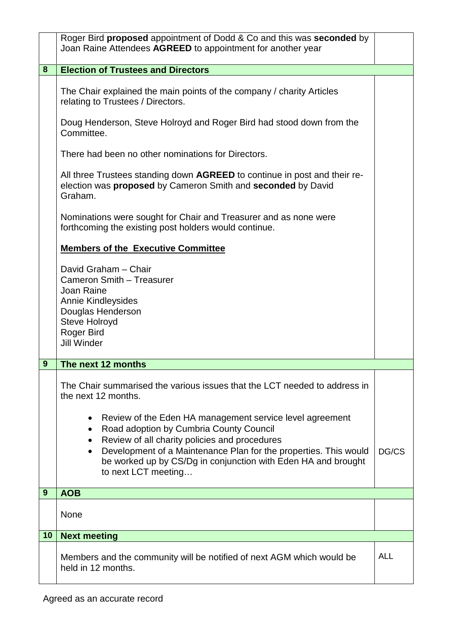|    | Roger Bird proposed appointment of Dodd & Co and this was seconded by<br>Joan Raine Attendees AGREED to appointment for another year                                                                                                                                                                                                                         |            |
|----|--------------------------------------------------------------------------------------------------------------------------------------------------------------------------------------------------------------------------------------------------------------------------------------------------------------------------------------------------------------|------------|
| 8  | <b>Election of Trustees and Directors</b>                                                                                                                                                                                                                                                                                                                    |            |
|    | The Chair explained the main points of the company / charity Articles<br>relating to Trustees / Directors.<br>Doug Henderson, Steve Holroyd and Roger Bird had stood down from the                                                                                                                                                                           |            |
|    | Committee.                                                                                                                                                                                                                                                                                                                                                   |            |
|    | There had been no other nominations for Directors.                                                                                                                                                                                                                                                                                                           |            |
|    | All three Trustees standing down <b>AGREED</b> to continue in post and their re-<br>election was proposed by Cameron Smith and seconded by David<br>Graham.                                                                                                                                                                                                  |            |
|    | Nominations were sought for Chair and Treasurer and as none were<br>forthcoming the existing post holders would continue.                                                                                                                                                                                                                                    |            |
|    | <b>Members of the Executive Committee</b>                                                                                                                                                                                                                                                                                                                    |            |
|    | David Graham - Chair<br>Cameron Smith - Treasurer<br><b>Joan Raine</b><br><b>Annie Kindleysides</b><br>Douglas Henderson<br>Steve Holroyd<br>Roger Bird<br><b>Jill Winder</b>                                                                                                                                                                                |            |
| 9  | The next 12 months                                                                                                                                                                                                                                                                                                                                           |            |
|    | The Chair summarised the various issues that the LCT needed to address in<br>the next 12 months.                                                                                                                                                                                                                                                             |            |
|    | Review of the Eden HA management service level agreement<br>٠<br>Road adoption by Cumbria County Council<br>$\bullet$<br>Review of all charity policies and procedures<br>$\bullet$<br>Development of a Maintenance Plan for the properties. This would<br>$\bullet$<br>be worked up by CS/Dg in conjunction with Eden HA and brought<br>to next LCT meeting | DG/CS      |
| 9  | <b>AOB</b>                                                                                                                                                                                                                                                                                                                                                   |            |
|    | None                                                                                                                                                                                                                                                                                                                                                         |            |
| 10 | <b>Next meeting</b>                                                                                                                                                                                                                                                                                                                                          |            |
|    | Members and the community will be notified of next AGM which would be<br>held in 12 months.                                                                                                                                                                                                                                                                  | <b>ALL</b> |